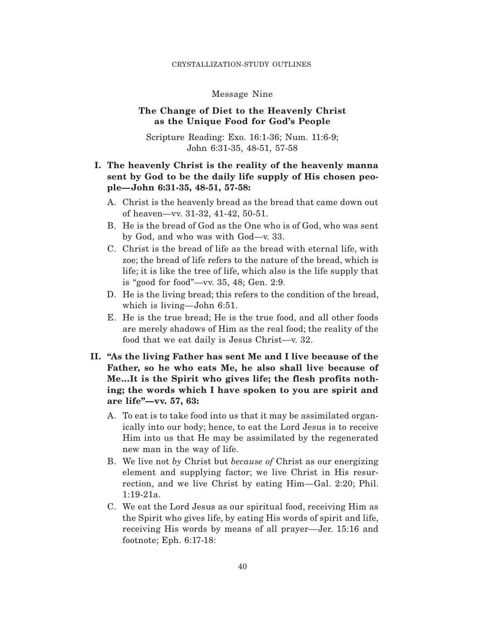#### CRYSTALLIZATION-STUDY OUTLINES

### Message Nine

## **The Change of Diet to the Heavenly Christ as the Unique Food for God's People**

Scripture Reading: Exo. 16:1-36; Num. 11:6-9; John 6:31-35, 48-51, 57-58

# **I. The heavenly Christ is the reality of the heavenly manna sent by God to be the daily life supply of His chosen people—John 6:31-35, 48-51, 57-58:**

- A. Christ is the heavenly bread as the bread that came down out of heaven—vv. 31-32, 41-42, 50-51.
- B. He is the bread of God as the One who is of God, who was sent by God, and who was with God—v. 33.
- C. Christ is the bread of life as the bread with eternal life, with zoe; the bread of life refers to the nature of the bread, which is life; it is like the tree of life, which also is the life supply that is "good for food"—vv. 35, 48; Gen. 2:9.
- D. He is the living bread; this refers to the condition of the bread, which is living—John 6:51.
- E. He is the true bread; He is the true food, and all other foods are merely shadows of Him as the real food; the reality of the food that we eat daily is Jesus Christ—v. 32.
- **II. "As the living Father has sent Me and I live because of the Father, so he who eats Me, he also shall live because of Me…It is the Spirit who gives life; the flesh profits nothing; the words which I have spoken to you are spirit and are life"—vv. 57, 63:**
	- A. To eat is to take food into us that it may be assimilated organically into our body; hence, to eat the Lord Jesus is to receive Him into us that He may be assimilated by the regenerated new man in the way of life.
	- B. We live not *by* Christ but *because of* Christ as our energizing element and supplying factor; we live Christ in His resurrection, and we live Christ by eating Him—Gal. 2:20; Phil. 1:19-21a.
	- C. We eat the Lord Jesus as our spiritual food, receiving Him as the Spirit who gives life, by eating His words of spirit and life, receiving His words by means of all prayer—Jer. 15:16 and footnote; Eph. 6:17-18: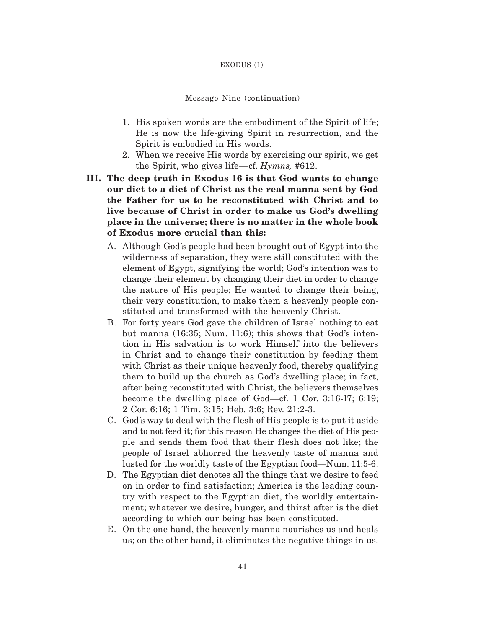#### EXODUS (1)

### Message Nine (continuation)

- 1. His spoken words are the embodiment of the Spirit of life; He is now the life-giving Spirit in resurrection, and the Spirit is embodied in His words.
- 2. When we receive His words by exercising our spirit, we get the Spirit, who gives life—cf. *Hymns,* #612.
- **III. The deep truth in Exodus 16 is that God wants to change our diet to a diet of Christ as the real manna sent by God the Father for us to be reconstituted with Christ and to live because of Christ in order to make us God's dwelling place in the universe; there is no matter in the whole book of Exodus more crucial than this:**
	- A. Although God's people had been brought out of Egypt into the wilderness of separation, they were still constituted with the element of Egypt, signifying the world; God's intention was to change their element by changing their diet in order to change the nature of His people; He wanted to change their being, their very constitution, to make them a heavenly people constituted and transformed with the heavenly Christ.
	- B. For forty years God gave the children of Israel nothing to eat but manna (16:35; Num. 11:6); this shows that God's intention in His salvation is to work Himself into the believers in Christ and to change their constitution by feeding them with Christ as their unique heavenly food, thereby qualifying them to build up the church as God's dwelling place; in fact, after being reconstituted with Christ, the believers themselves become the dwelling place of God—cf. 1 Cor. 3:16-17; 6:19; 2 Cor. 6:16; 1 Tim. 3:15; Heb. 3:6; Rev. 21:2-3.
	- C. God's way to deal with the f lesh of His people is to put it aside and to not feed it; for this reason He changes the diet of His people and sends them food that their f lesh does not like; the people of Israel abhorred the heavenly taste of manna and lusted for the worldly taste of the Egyptian food—Num. 11:5-6.
	- D. The Egyptian diet denotes all the things that we desire to feed on in order to find satisfaction; America is the leading country with respect to the Egyptian diet, the worldly entertainment; whatever we desire, hunger, and thirst after is the diet according to which our being has been constituted.
	- E. On the one hand, the heavenly manna nourishes us and heals us; on the other hand, it eliminates the negative things in us.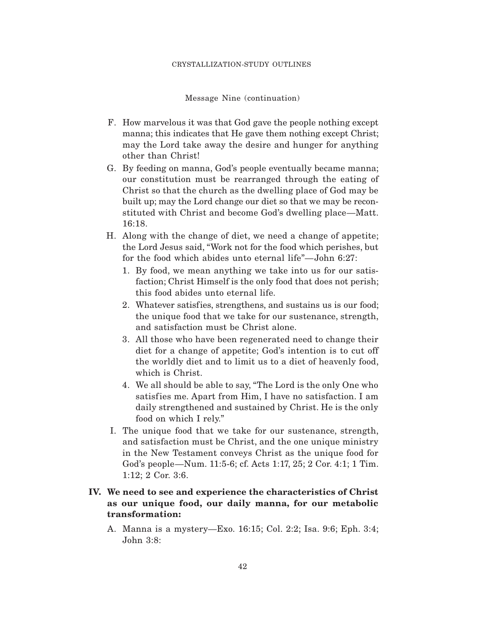#### CRYSTALLIZATION-STUDY OUTLINES

Message Nine (continuation)

- F. How marvelous it was that God gave the people nothing except manna; this indicates that He gave them nothing except Christ; may the Lord take away the desire and hunger for anything other than Christ!
- G. By feeding on manna, God's people eventually became manna; our constitution must be rearranged through the eating of Christ so that the church as the dwelling place of God may be built up; may the Lord change our diet so that we may be reconstituted with Christ and become God's dwelling place—Matt. 16:18.
- H. Along with the change of diet, we need a change of appetite; the Lord Jesus said, "Work not for the food which perishes, but for the food which abides unto eternal life"—John 6:27:
	- 1. By food, we mean anything we take into us for our satisfaction; Christ Himself is the only food that does not perish; this food abides unto eternal life.
	- 2. Whatever satisfies, strengthens, and sustains us is our food; the unique food that we take for our sustenance, strength, and satisfaction must be Christ alone.
	- 3. All those who have been regenerated need to change their diet for a change of appetite; God's intention is to cut off the worldly diet and to limit us to a diet of heavenly food, which is Christ.
	- 4. We all should be able to say, "The Lord is the only One who satisfies me. Apart from Him, I have no satisfaction. I am daily strengthened and sustained by Christ. He is the only food on which I rely."
- I. The unique food that we take for our sustenance, strength, and satisfaction must be Christ, and the one unique ministry in the New Testament conveys Christ as the unique food for God's people—Num. 11:5-6; cf. Acts 1:17, 25; 2 Cor. 4:1; 1 Tim. 1:12; 2 Cor. 3:6.

# **IV. We need to see and experience the characteristics of Christ as our unique food, our daily manna, for our metabolic transformation:**

A. Manna is a mystery—Exo. 16:15; Col. 2:2; Isa. 9:6; Eph. 3:4; John 3:8: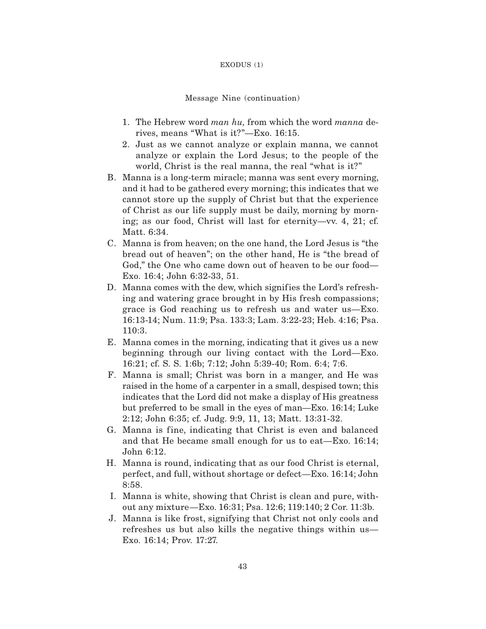### EXODUS (1)

### Message Nine (continuation)

- 1. The Hebrew word *man hu,* from which the word *manna* derives, means "What is it?"—Exo. 16:15.
- 2. Just as we cannot analyze or explain manna, we cannot analyze or explain the Lord Jesus; to the people of the world, Christ is the real manna, the real "what is it?"
- B. Manna is a long-term miracle; manna was sent every morning, and it had to be gathered every morning; this indicates that we cannot store up the supply of Christ but that the experience of Christ as our life supply must be daily, morning by morning; as our food, Christ will last for eternity—vv. 4, 21; cf. Matt. 6:34.
- C. Manna is from heaven; on the one hand, the Lord Jesus is "the bread out of heaven"; on the other hand, He is "the bread of God," the One who came down out of heaven to be our food— Exo. 16:4; John 6:32-33, 51.
- D. Manna comes with the dew, which signifies the Lord's refreshing and watering grace brought in by His fresh compassions; grace is God reaching us to refresh us and water us—Exo. 16:13-14; Num. 11:9; Psa. 133:3; Lam. 3:22-23; Heb. 4:16; Psa. 110:3.
- E. Manna comes in the morning, indicating that it gives us a new beginning through our living contact with the Lord—Exo. 16:21; cf. S. S. 1:6b; 7:12; John 5:39-40; Rom. 6:4; 7:6.
- F. Manna is small; Christ was born in a manger, and He was raised in the home of a carpenter in a small, despised town; this indicates that the Lord did not make a display of His greatness but preferred to be small in the eyes of man—Exo. 16:14; Luke 2:12; John 6:35; cf. Judg. 9:9, 11, 13; Matt. 13:31-32.
- G. Manna is fine, indicating that Christ is even and balanced and that He became small enough for us to eat—Exo. 16:14; John 6:12.
- H. Manna is round, indicating that as our food Christ is eternal, perfect, and full, without shortage or defect—Exo. 16:14; John 8:58.
- I. Manna is white, showing that Christ is clean and pure, without any mixture—Exo. 16:31; Psa. 12:6; 119:140; 2 Cor. 11:3b.
- J. Manna is like frost, signifying that Christ not only cools and refreshes us but also kills the negative things within us— Exo. 16:14; Prov. 17:27.